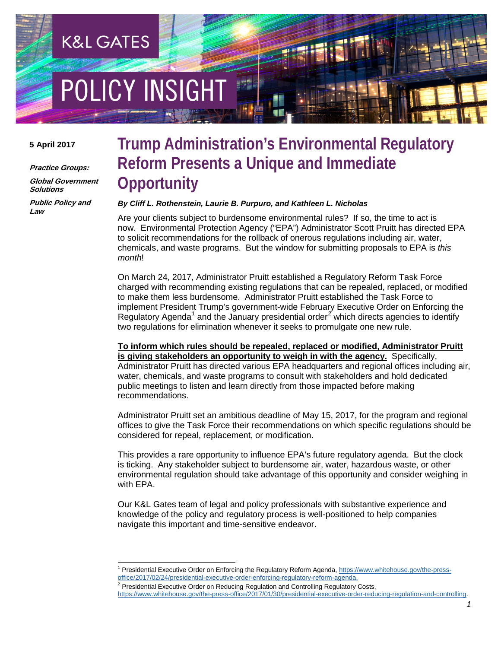# **POLICY INSIGHT**

**K&L GATES** 

#### **5 April 2017**

**Practice Groups:**

**Global Government Solutions**

**Public Policy and Law**

### **Trump Administration's Environmental Regulatory Reform Presents a Unique and Immediate Opportunity**

#### *By Cliff L. Rothenstein, Laurie B. Purpuro, and Kathleen L. Nicholas*

Are your clients subject to burdensome environmental rules? If so, the time to act is now. Environmental Protection Agency ("EPA") Administrator Scott Pruitt has directed EPA to solicit recommendations for the rollback of onerous regulations including air, water, chemicals, and waste programs. But the window for submitting proposals to EPA is *this month*!

On March 24, 2017, Administrator Pruitt established a Regulatory Reform Task Force charged with recommending existing regulations that can be repealed, replaced, or modified to make them less burdensome. Administrator Pruitt established the Task Force to implement President Trump's government-wide February Executive Order on Enforcing the Regulatory Agenda<sup>[1](#page-0-0)</sup> and the January presidential order<sup>[2](#page-0-1)</sup> which directs agencies to identify two regulations for elimination whenever it seeks to promulgate one new rule.

**To inform which rules should be repealed, replaced or modified, Administrator Pruitt is giving stakeholders an opportunity to weigh in with the agency.** Specifically, Administrator Pruitt has directed various EPA headquarters and regional offices including air, water, chemicals, and waste programs to consult with stakeholders and hold dedicated public meetings to listen and learn directly from those impacted before making recommendations.

Administrator Pruitt set an ambitious deadline of May 15, 2017, for the program and regional offices to give the Task Force their recommendations on which specific regulations should be considered for repeal, replacement, or modification.

This provides a rare opportunity to influence EPA's future regulatory agenda. But the clock is ticking. Any stakeholder subject to burdensome air, water, hazardous waste, or other environmental regulation should take advantage of this opportunity and consider weighing in with EPA.

Our K&L Gates team of legal and policy professionals with substantive experience and knowledge of the policy and regulatory process is well-positioned to help companies navigate this important and time-sensitive endeavor.

<span id="page-0-1"></span><span id="page-0-0"></span> <sup>1</sup> Presidential Executive Order on Enforcing the Regulatory Reform Agenda[, https://www.whitehouse.gov/the-press](https://www.whitehouse.gov/the-press-office/2017/02/24/presidential-executive-order-enforcing-regulatory-reform-agenda)[office/2017/02/24/presidential-executive-order-enforcing-regulatory-reform-agenda.](https://www.whitehouse.gov/the-press-office/2017/02/24/presidential-executive-order-enforcing-regulatory-reform-agenda)

 $2$  Presidential Executive Order on Reducing Regulation and Controlling Regulatory Costs, [https://www.whitehouse.gov/the-press-office/2017/01/30/presidential-executive-order-reducing-regulation-and-controlling.](https://www.whitehouse.gov/the-press-office/2017/01/30/presidential-executive-order-reducing-regulation-and-controlling)